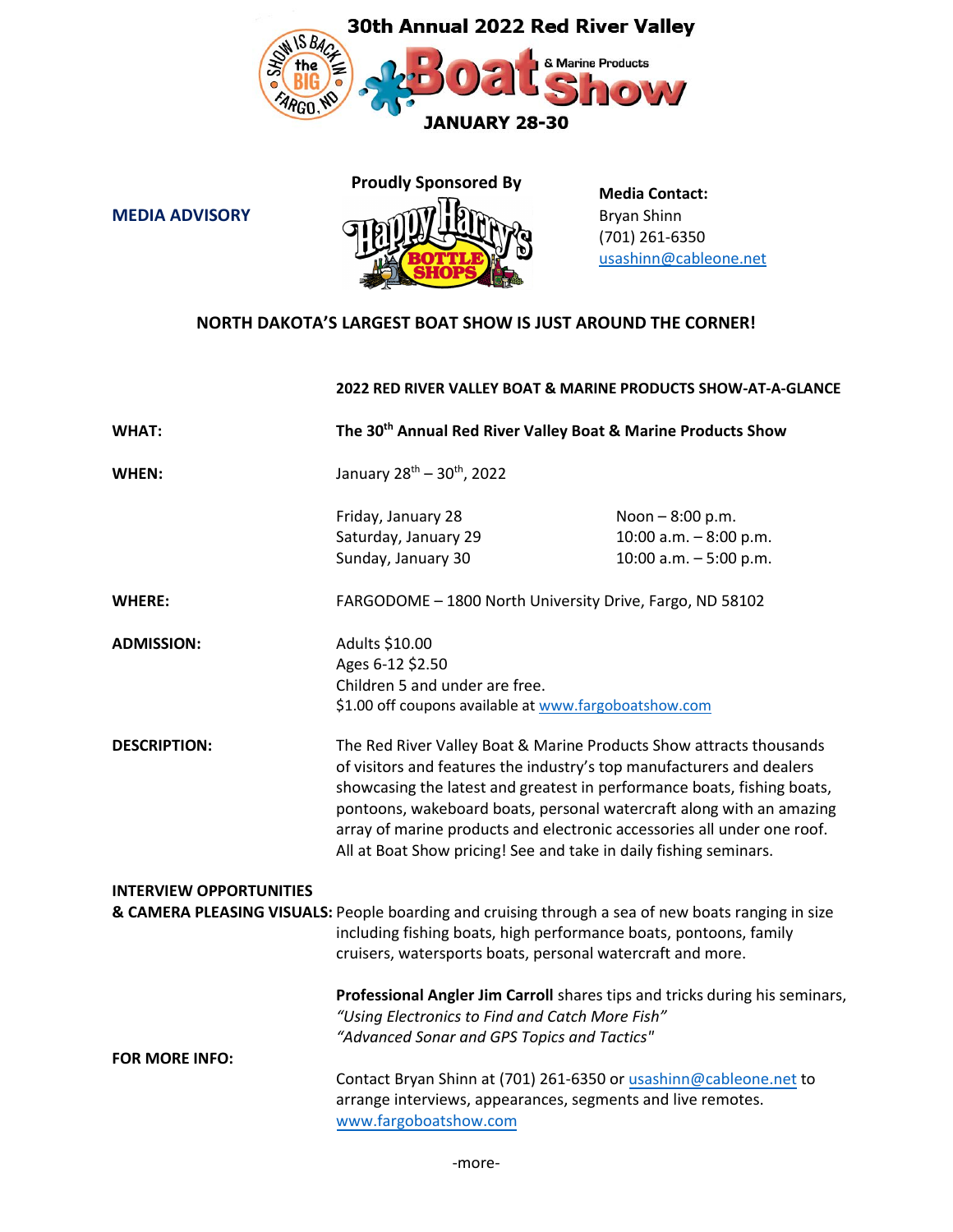



 **Media Contact:** (701) 261-6350 [usashinn@cableone.net](mailto:usashinn@cableone.net)

## **NORTH DAKOTA'S LARGEST BOAT SHOW IS JUST AROUND THE CORNER!**

## **2022 RED RIVER VALLEY BOAT & MARINE PRODUCTS SHOW-AT-A-GLANCE**

| <b>WHAT:</b>                   | The 30 <sup>th</sup> Annual Red River Valley Boat & Marine Products Show                                                                                                                                                                                                                                                                                                                                                                        |                                                                       |  |
|--------------------------------|-------------------------------------------------------------------------------------------------------------------------------------------------------------------------------------------------------------------------------------------------------------------------------------------------------------------------------------------------------------------------------------------------------------------------------------------------|-----------------------------------------------------------------------|--|
| WHEN:                          | January 28 <sup>th</sup> - 30 <sup>th</sup> , 2022                                                                                                                                                                                                                                                                                                                                                                                              |                                                                       |  |
|                                | Friday, January 28<br>Saturday, January 29<br>Sunday, January 30                                                                                                                                                                                                                                                                                                                                                                                | Noon - 8:00 p.m.<br>10:00 a.m. - 8:00 p.m.<br>10:00 a.m. $-5:00$ p.m. |  |
| <b>WHERE:</b>                  | FARGODOME - 1800 North University Drive, Fargo, ND 58102                                                                                                                                                                                                                                                                                                                                                                                        |                                                                       |  |
| <b>ADMISSION:</b>              | Adults \$10.00<br>Ages 6-12 \$2.50<br>Children 5 and under are free.<br>\$1.00 off coupons available at www.fargoboatshow.com                                                                                                                                                                                                                                                                                                                   |                                                                       |  |
| <b>DESCRIPTION:</b>            | The Red River Valley Boat & Marine Products Show attracts thousands<br>of visitors and features the industry's top manufacturers and dealers<br>showcasing the latest and greatest in performance boats, fishing boats,<br>pontoons, wakeboard boats, personal watercraft along with an amazing<br>array of marine products and electronic accessories all under one roof.<br>All at Boat Show pricing! See and take in daily fishing seminars. |                                                                       |  |
| <b>INTERVIEW OPPORTUNITIES</b> | & CAMERA PLEASING VISUALS: People boarding and cruising through a sea of new boats ranging in size<br>including fishing boats, high performance boats, pontoons, family<br>cruisers, watersports boats, personal watercraft and more.                                                                                                                                                                                                           |                                                                       |  |
| <b>FOR MORE INFO:</b>          | Professional Angler Jim Carroll shares tips and tricks during his seminars,<br>"Using Electronics to Find and Catch More Fish"<br>"Advanced Sonar and GPS Topics and Tactics"                                                                                                                                                                                                                                                                   |                                                                       |  |
|                                | Contact Bryan Shinn at (701) 261-6350 or usashinn@cableone.net to<br>arrange interviews, appearances, segments and live remotes.<br>www.fargoboatshow.com                                                                                                                                                                                                                                                                                       |                                                                       |  |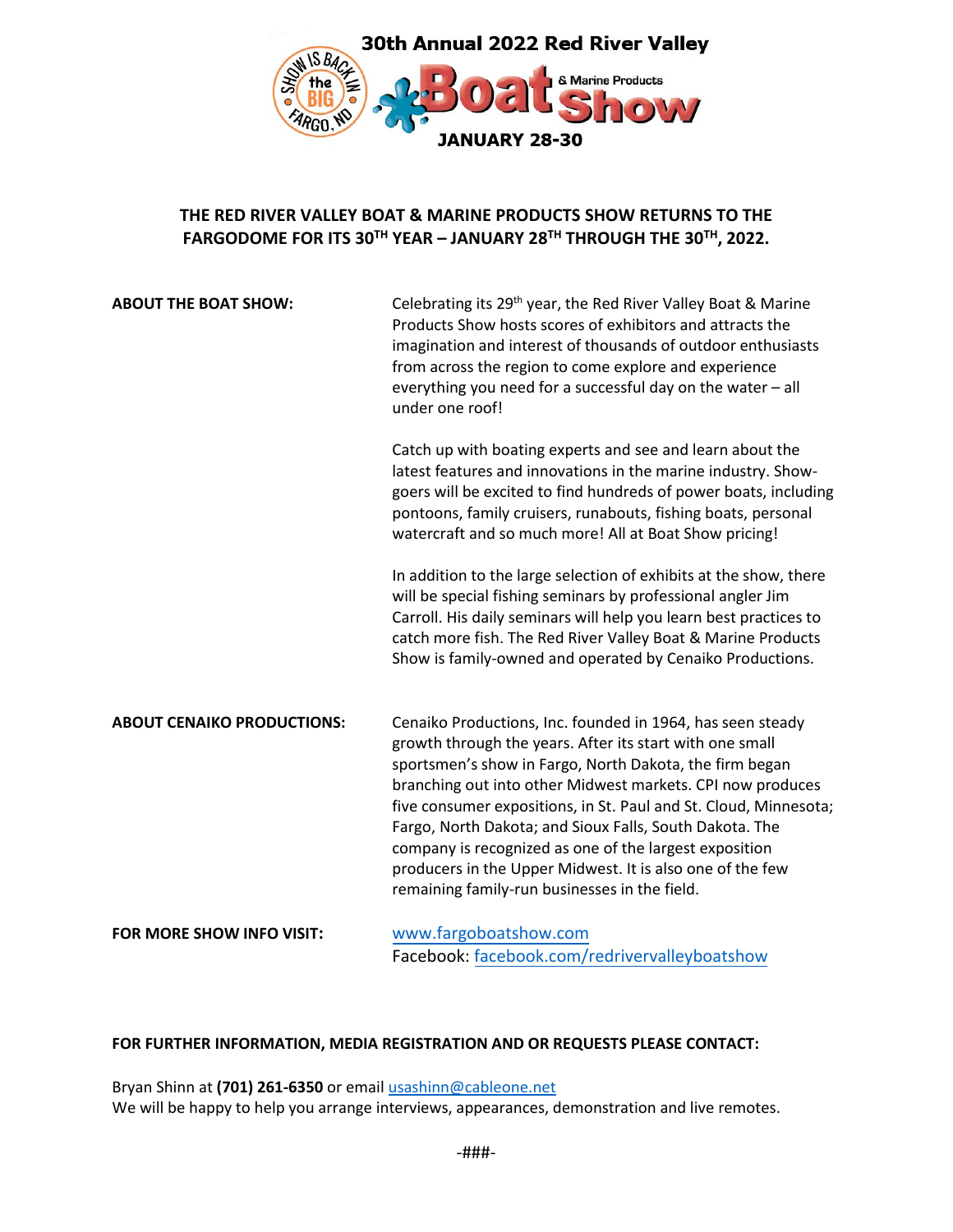

# **THE RED RIVER VALLEY BOAT & MARINE PRODUCTS SHOW RETURNS TO THE FARGODOME FOR ITS 30TH YEAR – JANUARY 28 TH THROUGH THE 30 TH , 2022.**

| <b>ABOUT THE BOAT SHOW:</b>       | Celebrating its 29 <sup>th</sup> year, the Red River Valley Boat & Marine<br>Products Show hosts scores of exhibitors and attracts the<br>imagination and interest of thousands of outdoor enthusiasts<br>from across the region to come explore and experience<br>everything you need for a successful day on the water - all<br>under one roof!                                                                                                                                                                                                      |  |
|-----------------------------------|--------------------------------------------------------------------------------------------------------------------------------------------------------------------------------------------------------------------------------------------------------------------------------------------------------------------------------------------------------------------------------------------------------------------------------------------------------------------------------------------------------------------------------------------------------|--|
|                                   | Catch up with boating experts and see and learn about the<br>latest features and innovations in the marine industry. Show-<br>goers will be excited to find hundreds of power boats, including<br>pontoons, family cruisers, runabouts, fishing boats, personal<br>watercraft and so much more! All at Boat Show pricing!                                                                                                                                                                                                                              |  |
|                                   | In addition to the large selection of exhibits at the show, there<br>will be special fishing seminars by professional angler Jim<br>Carroll. His daily seminars will help you learn best practices to<br>catch more fish. The Red River Valley Boat & Marine Products<br>Show is family-owned and operated by Cenaiko Productions.                                                                                                                                                                                                                     |  |
| <b>ABOUT CENAIKO PRODUCTIONS:</b> | Cenaiko Productions, Inc. founded in 1964, has seen steady<br>growth through the years. After its start with one small<br>sportsmen's show in Fargo, North Dakota, the firm began<br>branching out into other Midwest markets. CPI now produces<br>five consumer expositions, in St. Paul and St. Cloud, Minnesota;<br>Fargo, North Dakota; and Sioux Falls, South Dakota. The<br>company is recognized as one of the largest exposition<br>producers in the Upper Midwest. It is also one of the few<br>remaining family-run businesses in the field. |  |
| FOR MORE SHOW INFO VISIT:         | www.fargoboatshow.com<br>Facebook: facebook.com/redrivervalleyboatshow                                                                                                                                                                                                                                                                                                                                                                                                                                                                                 |  |

### **FOR FURTHER INFORMATION, MEDIA REGISTRATION AND OR REQUESTS PLEASE CONTACT:**

Bryan Shinn at **(701) 261-6350** or email [usashinn@cableone.net](mailto:usashinn@cableone.net) We will be happy to help you arrange interviews, appearances, demonstration and live remotes.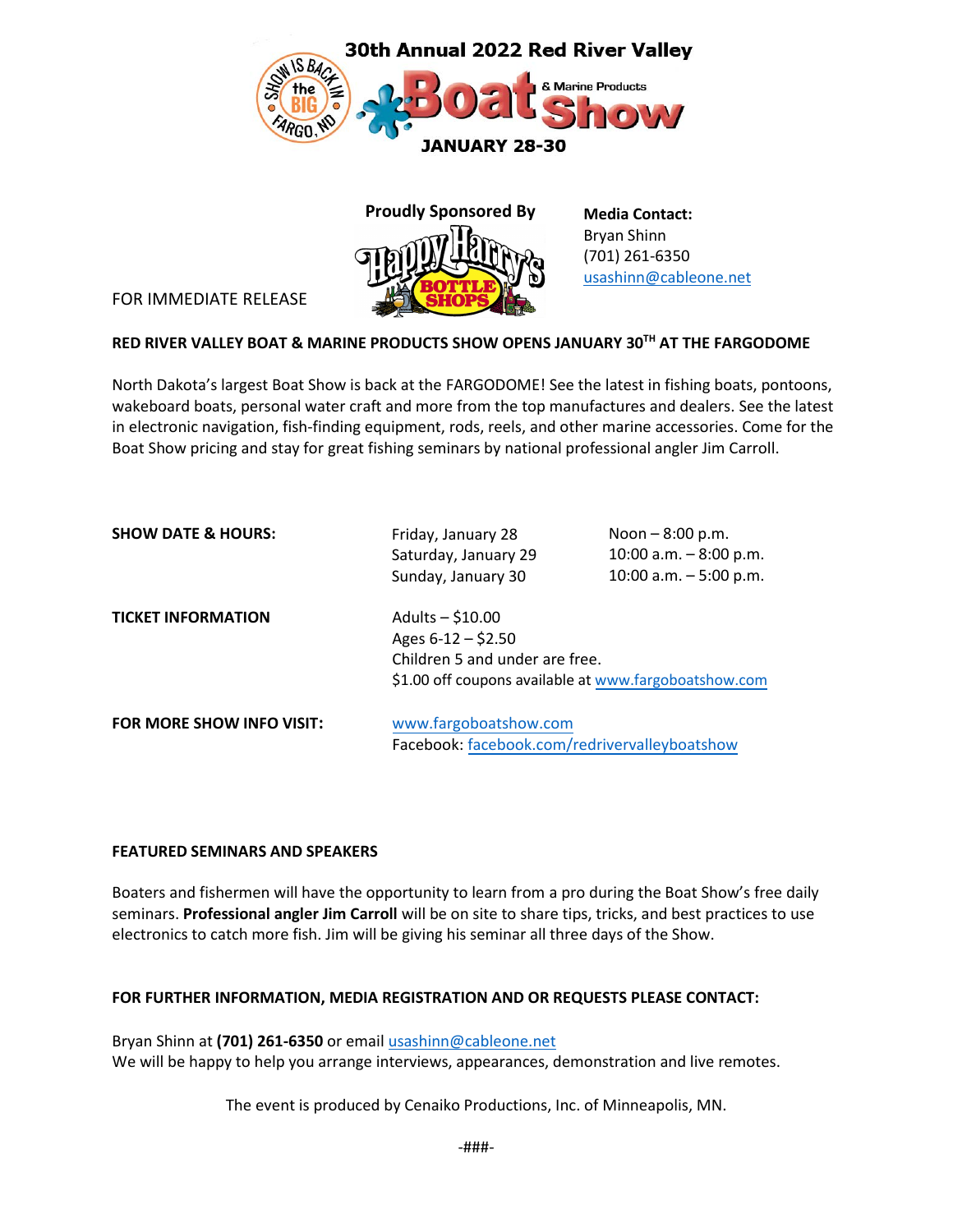



**Media Contact:** Bryan Shinn (701) 261-6350 [usashinn@cableone.net](mailto:usashinn@cableone.net)

FOR IMMEDIATE RELEASE

## **RED RIVER VALLEY BOAT & MARINE PRODUCTS SHOW OPENS JANUARY 30TH AT THE FARGODOME**

North Dakota's largest Boat Show is back at the FARGODOME! See the latest in fishing boats, pontoons, wakeboard boats, personal water craft and more from the top manufactures and dealers. See the latest in electronic navigation, fish-finding equipment, rods, reels, and other marine accessories. Come for the Boat Show pricing and stay for great fishing seminars by national professional angler Jim Carroll.

| <b>SHOW DATE &amp; HOURS:</b> | Friday, January 28                                    | Noon $-8:00$ p.m.       |  |
|-------------------------------|-------------------------------------------------------|-------------------------|--|
|                               | Saturday, January 29                                  | 10:00 a.m. $-8:00$ p.m. |  |
|                               | Sunday, January 30                                    | 10:00 a.m. $-5:00$ p.m. |  |
| <b>TICKET INFORMATION</b>     | Adults $-$ \$10.00                                    |                         |  |
|                               | Ages $6-12 - $2.50$                                   |                         |  |
|                               | Children 5 and under are free.                        |                         |  |
|                               | \$1.00 off coupons available at www.fargoboatshow.com |                         |  |
| FOR MORE SHOW INFO VISIT:     | www.fargoboatshow.com                                 |                         |  |
|                               | Facebook: facebook.com/redrivervalleyboatshow         |                         |  |

### **FEATURED SEMINARS AND SPEAKERS**

Boaters and fishermen will have the opportunity to learn from a pro during the Boat Show's free daily seminars. **Professional angler Jim Carroll** will be on site to share tips, tricks, and best practices to use electronics to catch more fish. Jim will be giving his seminar all three days of the Show.

### **FOR FURTHER INFORMATION, MEDIA REGISTRATION AND OR REQUESTS PLEASE CONTACT:**

Bryan Shinn at **(701) 261-6350** or email [usashinn@cableone.net](mailto:usashinn@cableone.net) We will be happy to help you arrange interviews, appearances, demonstration and live remotes.

The event is produced by Cenaiko Productions, Inc. of Minneapolis, MN.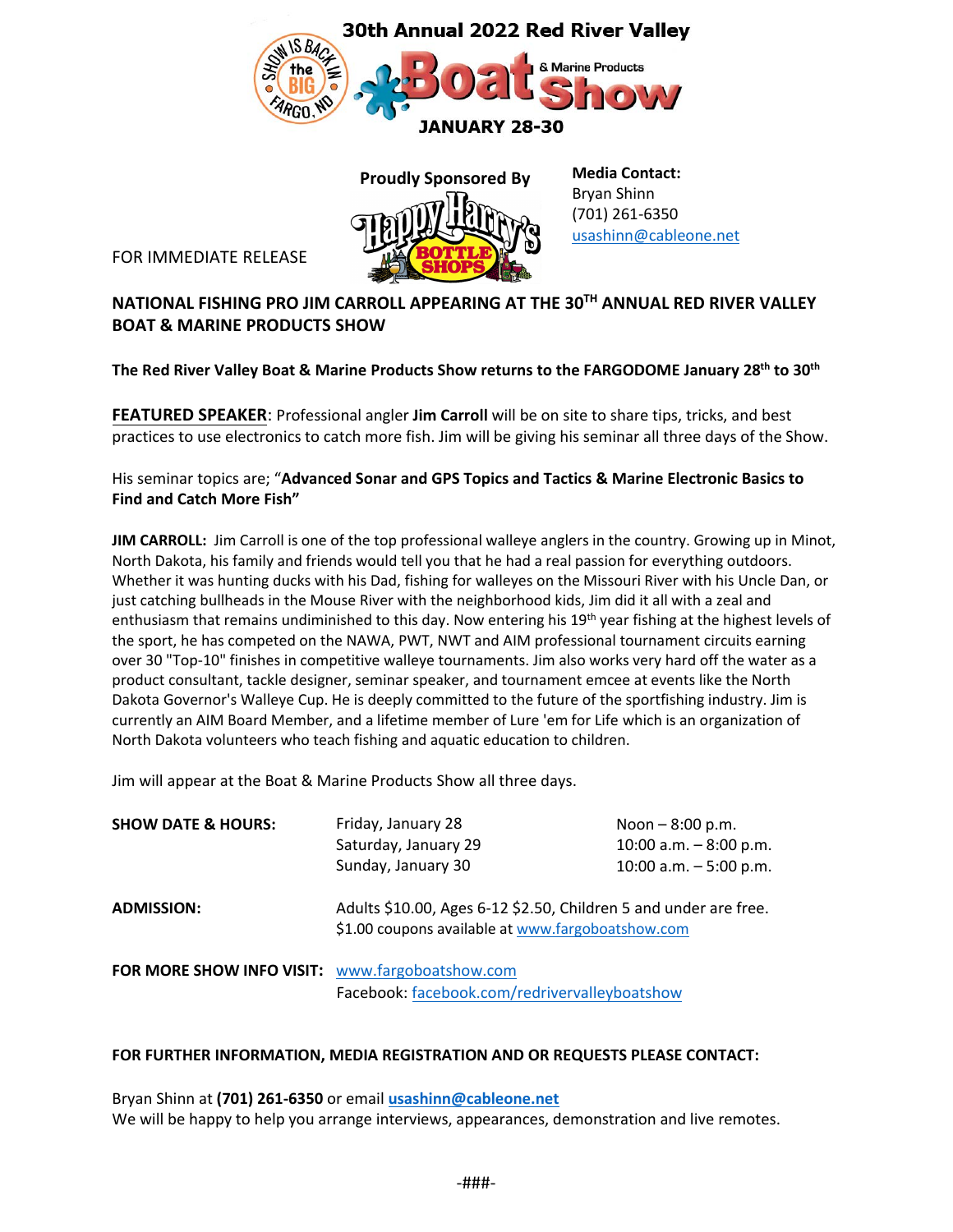



 **Media Contact:** Bryan Shinn (701) 261-6350 [usashinn@cableone.net](mailto:usashinn@cableone.net)

FOR IMMEDIATE RELEASE

# **NATIONAL FISHING PRO JIM CARROLL APPEARING AT THE 30TH ANNUAL RED RIVER VALLEY BOAT & MARINE PRODUCTS SHOW**

**The Red River Valley Boat & Marine Products Show returns to the FARGODOME January 28 th to 30 th**

**FEATURED SPEAKER**: Professional angler **Jim Carroll** will be on site to share tips, tricks, and best practices to use electronics to catch more fish. Jim will be giving his seminar all three days of the Show.

His seminar topics are; "**Advanced Sonar and GPS Topics and Tactics & Marine Electronic Basics to Find and Catch More Fish"**

**JIM CARROLL:** Jim Carroll is one of the top professional walleye anglers in the country. Growing up in Minot, North Dakota, his family and friends would tell you that he had a real passion for everything outdoors. Whether it was hunting ducks with his Dad, fishing for walleyes on the Missouri River with his Uncle Dan, or just catching bullheads in the Mouse River with the neighborhood kids, Jim did it all with a zeal and enthusiasm that remains undiminished to this day. Now entering his 19<sup>th</sup> year fishing at the highest levels of the sport, he has competed on the NAWA, PWT, NWT and AIM professional tournament circuits earning over 30 "Top-10" finishes in competitive walleye tournaments. Jim also works very hard off the water as a product consultant, tackle designer, seminar speaker, and tournament emcee at events like the North Dakota Governor's Walleye Cup. He is deeply committed to the future of the sportfishing industry. Jim is currently an AIM Board Member, and a lifetime member of Lure 'em for Life which is an organization of North Dakota volunteers who teach fishing and aquatic education to children.

Jim will appear at the Boat & Marine Products Show all three days.

| <b>SHOW DATE &amp; HOURS:</b>                   | Friday, January 28                                                                                                    | Noon $-8:00$ p.m.       |
|-------------------------------------------------|-----------------------------------------------------------------------------------------------------------------------|-------------------------|
|                                                 | Saturday, January 29                                                                                                  | 10:00 a.m. $-8:00$ p.m. |
|                                                 | Sunday, January 30                                                                                                    | 10:00 a.m. $-5:00$ p.m. |
| <b>ADMISSION:</b>                               | Adults \$10.00, Ages 6-12 \$2.50, Children 5 and under are free.<br>\$1.00 coupons available at www.fargoboatshow.com |                         |
| FOR MORE SHOW INFO VISIT: www.fargoboatshow.com |                                                                                                                       |                         |
| Facebook: facebook.com/redrivervalleyboatshow   |                                                                                                                       |                         |

#### **FOR FURTHER INFORMATION, MEDIA REGISTRATION AND OR REQUESTS PLEASE CONTACT:**

Bryan Shinn at **(701) 261-6350** or email **[usashinn@cableone.net](mailto:usashinn@cableone.net)** We will be happy to help you arrange interviews, appearances, demonstration and live remotes.